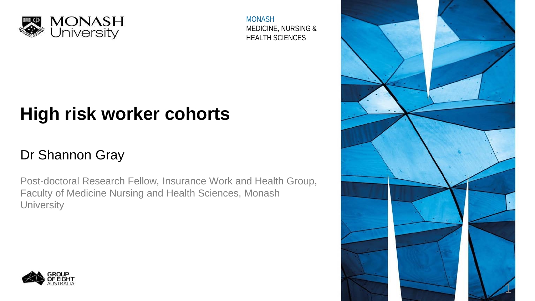

MONASH MEDICINE, NURSING & HEALTH SCIENCES

# **High risk worker cohorts**

### Dr Shannon Gray

Post-doctoral Research Fellow, Insurance Work and Health Group, Faculty of Medicine Nursing and Health Sciences, Monash **University** 



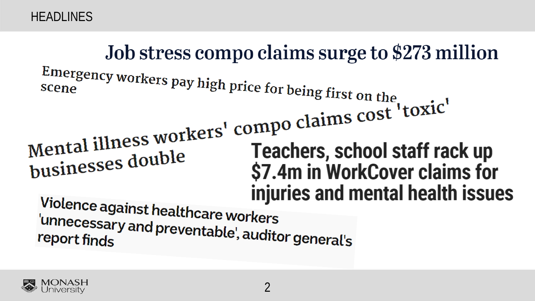HEADLINES

# Job stress compo claims surge to \$273 million Emergency workers pay high price for being first on the Mental illness workers' compo claims cost 'toxic'<br>
Teachers, school staff rad Teachers, school staff rack up businesses double \$7.4m in WorkCover claims for injuries and mental health issues Violence against healthcare workers<br>unnecessary and press the United 'unnecessary and preventable', auditor general's<br>report finds

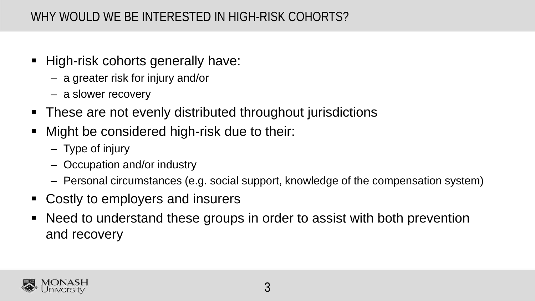#### WHY WOULD WE BE INTERESTED IN HIGH-RISK COHORTS?

- **High-risk cohorts generally have:** 
	- a greater risk for injury and/or
	- a slower recovery
- **These are not evenly distributed throughout jurisdictions**
- Might be considered high-risk due to their:
	- Type of injury
	- Occupation and/or industry
	- Personal circumstances (e.g. social support, knowledge of the compensation system)
- Costly to employers and insurers
- Need to understand these groups in order to assist with both prevention and recovery

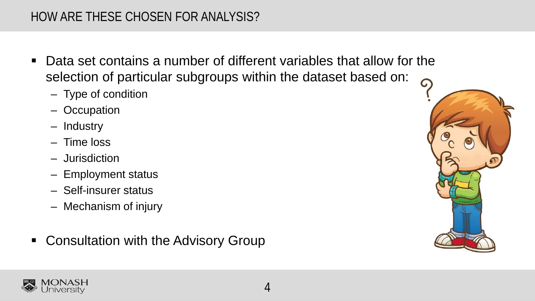#### HOW ARE THESE CHOSEN FOR ANALYSIS?

- Data set contains a number of different variables that allow for the selection of particular subgroups within the dataset based on:
	- Type of condition
	- Occupation
	- Industry
	- Time loss
	- Jurisdiction
	- Employment status
	- Self-insurer status
	- Mechanism of injury
- Consultation with the Advisory Group



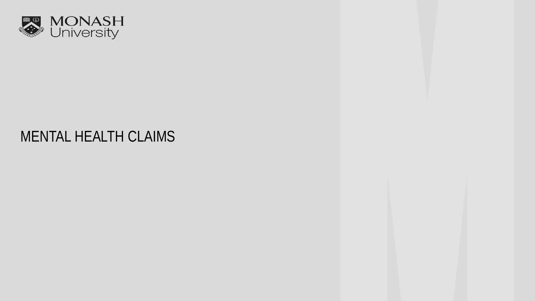

## MENTAL HEALTH CLAIMS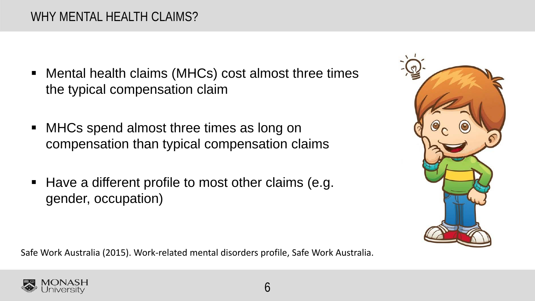- Mental health claims (MHCs) cost almost three times the typical compensation claim
- MHCs spend almost three times as long on compensation than typical compensation claims
- Have a different profile to most other claims (e.g. gender, occupation)

Safe Work Australia (2015). Work-related mental disorders profile, Safe Work Australia.



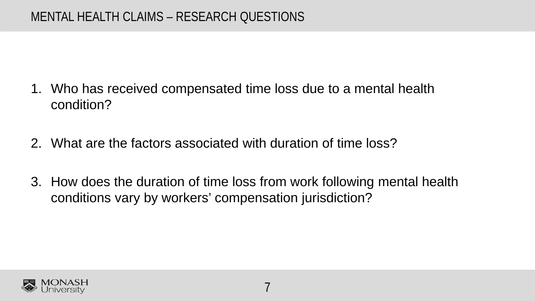- 1. Who has received compensated time loss due to a mental health condition?
- 2. What are the factors associated with duration of time loss?
- 3. How does the duration of time loss from work following mental health conditions vary by workers' compensation jurisdiction?

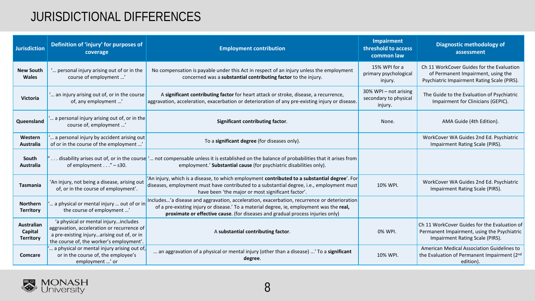#### JURISDICTIONAL DIFFERENCES

| <b>Jurisdiction</b>                              | Definition of 'injury' for purposes of<br>coverage                                                                                                                           | <b>Employment contribution</b>                                                                                                                                                                                                                                            | Impairment<br>threshold to access<br>common law           | <b>Diagnostic methodology of</b><br>assessment                                                                                 |
|--------------------------------------------------|------------------------------------------------------------------------------------------------------------------------------------------------------------------------------|---------------------------------------------------------------------------------------------------------------------------------------------------------------------------------------------------------------------------------------------------------------------------|-----------------------------------------------------------|--------------------------------------------------------------------------------------------------------------------------------|
| <b>New South</b><br><b>Wales</b>                 | " personal injury arising out of or in the<br>course of employment '                                                                                                         | No compensation is payable under this Act in respect of an injury unless the employment<br>concerned was a substantial contributing factor to the injury.                                                                                                                 | 15% WPI for a<br>primary psychological<br>injury.         | Ch 11 WorkCover Guides for the Evaluation<br>of Permanent Impairment, using the<br>Psychiatric Impairment Rating Scale (PIRS). |
| <b>Victoria</b>                                  | an injury arising out of, or in the course<br>of, any employment '                                                                                                           | A significant contributing factor for heart attack or stroke, disease, a recurrence,<br>aggravation, acceleration, exacerbation or deterioration of any pre-existing injury or disease.                                                                                   | 30% WPI – not arising<br>secondary to physical<br>injury. | The Guide to the Evaluation of Psychiatric<br>Impairment for Clinicians (GEPIC).                                               |
| Queensland                                       | a personal injury arising out of, or in the<br>course of, employment '                                                                                                       | Significant contributing factor.                                                                                                                                                                                                                                          | None.                                                     | AMA Guide (4th Edition).                                                                                                       |
| Western<br>Australia                             | a personal injury by accident arising out<br>of or in the course of the employment '                                                                                         | To a significant degree (for diseases only).                                                                                                                                                                                                                              |                                                           | WorkCover WA Guides 2nd Ed. Psychiatric<br>Impairment Rating Scale (PIRS).                                                     |
| South<br><b>Australia</b>                        | of employment $\dots$ " – s30.                                                                                                                                               | disability arises out of, or in the course ' not compensable unless it is established on the balance of probabilities that it arises from<br>employment.' Substantial cause (for psychiatric disabilities only).                                                          |                                                           |                                                                                                                                |
| <b>Tasmania</b>                                  | 'An injury, not being a disease, arising out<br>of, or in the course of employment'.                                                                                         | 'An injury, which is a disease, to which employment contributed to a substantial degree'. For<br>diseases, employment must have contributed to a substantial degree, i.e., employment must<br>have been 'the major or most significant factor'.                           | 10% WPI.                                                  | WorkCover WA Guides 2nd Ed. Psychiatric<br>Impairment Rating Scale (PIRS).                                                     |
| <b>Northern</b><br><b>Territory</b>              | a physical or mental injury  out of or in<br>the course of employment '                                                                                                      | Includes'a disease and aggravation, acceleration, exacerbation, recurrence or deterioration<br>of a pre-existing injury or disease.' To a material degree, ie, employment was the real,<br>proximate or effective cause. (for diseases and gradual process injuries only) |                                                           |                                                                                                                                |
| <b>Australian</b><br>Capital<br><b>Territory</b> | 'a physical or mental injuryincludes<br>aggravation, acceleration or recurrence of<br>a pre-existing injuryarising out of, or in<br>the course of, the worker's employment'. | A substantial contributing factor.                                                                                                                                                                                                                                        | 0% WPI.                                                   | Ch 11 WorkCover Guides for the Evaluation of<br>Permanent Impairment, using the Psychiatric<br>Impairment Rating Scale (PIRS). |
| Comcare                                          | a physical or mental injury arising out of,<br>or in the course of, the employee's<br>employment ' or                                                                        | an aggravation of a physical or mental injury (other than a disease) ' To a significant<br>degree.                                                                                                                                                                        | 10% WPI.                                                  | American Medical Association Guidelines to<br>the Evaluation of Permanent Impairment (2nd<br>edition).                         |

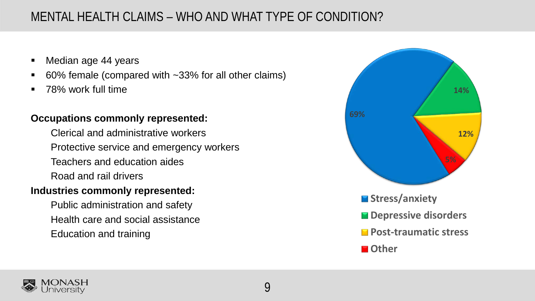#### MENTAL HEALTH CLAIMS – WHO AND WHAT TYPE OF CONDITION?

- Median age 44 years
- 60% female (compared with ~33% for all other claims)
- **78% work full time**

#### **Occupations commonly represented:**

Clerical and administrative workers Protective service and emergency workers Teachers and education aides Road and rail drivers

#### **Industries commonly represented:**

Public administration and safety Health care and social assistance Education and training



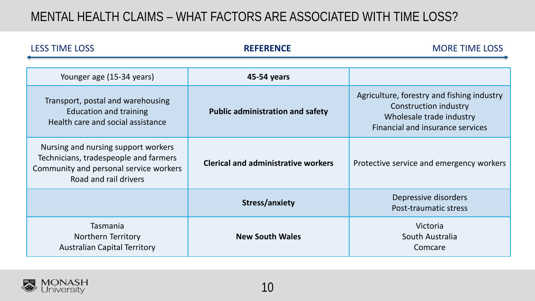#### MENTAL HEALTH CLAIMS – WHAT FACTORS ARE ASSOCIATED WITH TIME LOSS?

| <b>LESS TIME LOSS</b>                                                                                                                           | <b>REFERENCE</b>                           | <b>MORE TIME LOSS</b>                                                                                                                             |  |
|-------------------------------------------------------------------------------------------------------------------------------------------------|--------------------------------------------|---------------------------------------------------------------------------------------------------------------------------------------------------|--|
|                                                                                                                                                 |                                            |                                                                                                                                                   |  |
| Younger age (15-34 years)                                                                                                                       | 45-54 years                                |                                                                                                                                                   |  |
| Transport, postal and warehousing<br><b>Education and training</b><br>Health care and social assistance                                         | <b>Public administration and safety</b>    | Agriculture, forestry and fishing industry<br><b>Construction industry</b><br>Wholesale trade industry<br><b>Financial and insurance services</b> |  |
| Nursing and nursing support workers<br>Technicians, tradespeople and farmers<br>Community and personal service workers<br>Road and rail drivers | <b>Clerical and administrative workers</b> | Protective service and emergency workers                                                                                                          |  |
|                                                                                                                                                 | <b>Stress/anxiety</b>                      | Depressive disorders<br>Post-traumatic stress                                                                                                     |  |
| <b>Tasmania</b><br>Northern Territory<br><b>Australian Capital Territory</b>                                                                    | <b>New South Wales</b>                     | Victoria<br>South Australia<br>Comcare                                                                                                            |  |

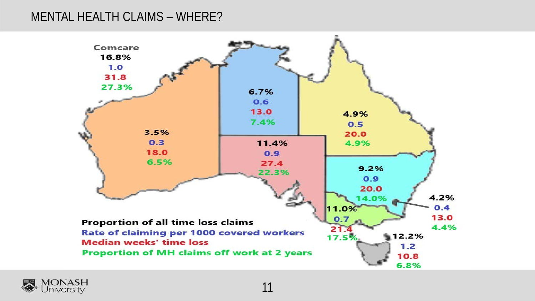#### MENTAL HEALTH CLAIMS – WHERE?



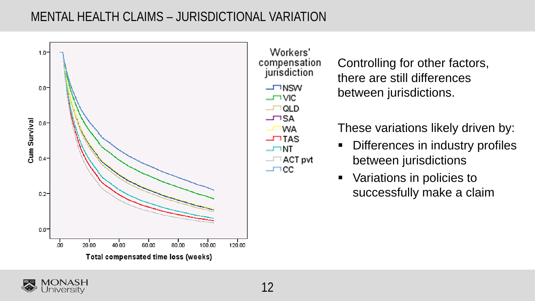#### MENTAL HEALTH CLAIMS – JURISDICTIONAL VARIATION



Controlling for other factors, there are still differences between jurisdictions.

These variations likely driven by:

- **-** Differences in industry profiles between jurisdictions
- Variations in policies to successfully make a claim



**WA**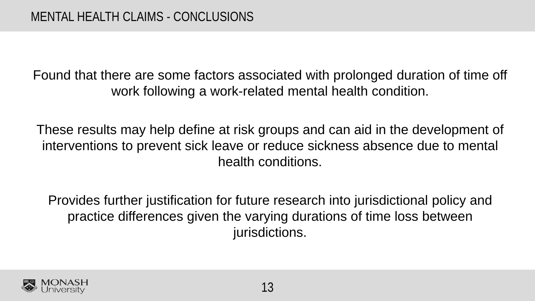Found that there are some factors associated with prolonged duration of time off work following a work-related mental health condition.

These results may help define at risk groups and can aid in the development of interventions to prevent sick leave or reduce sickness absence due to mental health conditions.

Provides further justification for future research into jurisdictional policy and practice differences given the varying durations of time loss between jurisdictions.

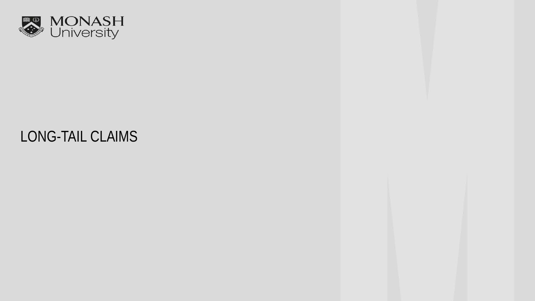

## LONG-TAIL CLAIMS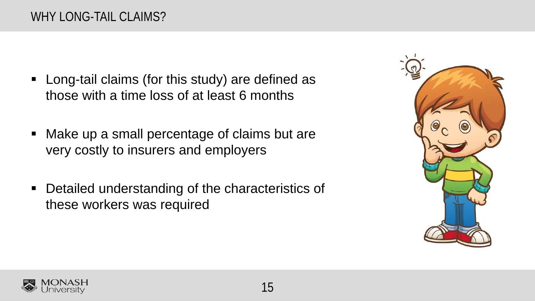- **EXEC** Long-tail claims (for this study) are defined as those with a time loss of at least 6 months
- Make up a small percentage of claims but are very costly to insurers and employers
- Detailed understanding of the characteristics of these workers was required



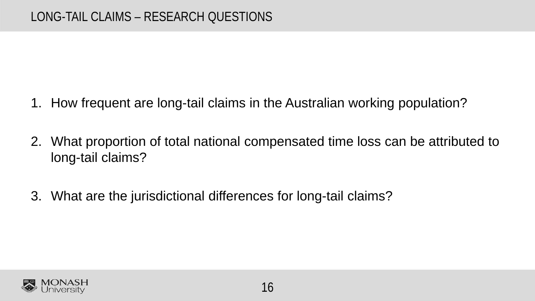- 1. How frequent are long-tail claims in the Australian working population?
- 2. What proportion of total national compensated time loss can be attributed to long-tail claims?
- 3. What are the jurisdictional differences for long-tail claims?

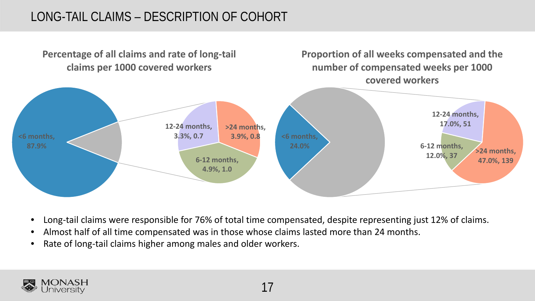#### LONG-TAIL CLAIMS – DESCRIPTION OF COHORT



- Long-tail claims were responsible for 76% of total time compensated, despite representing just 12% of claims.
- Almost half of all time compensated was in those whose claims lasted more than 24 months.
- Rate of long-tail claims higher among males and older workers.

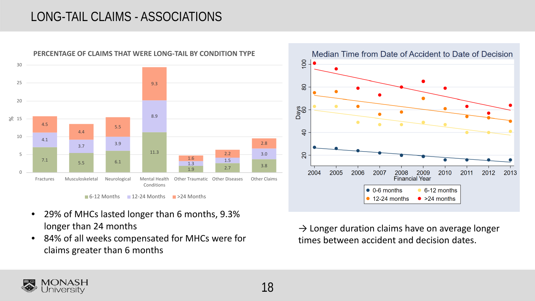#### LONG-TAIL CLAIMS - ASSOCIATIONS





- 29% of MHCs lasted longer than 6 months, 9.3% longer than 24 months
- 84% of all weeks compensated for MHCs were for claims greater than 6 months



 $\rightarrow$  Longer duration claims have on average longer times between accident and decision dates.

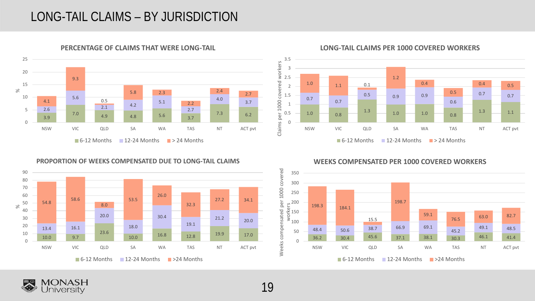#### LONG-TAIL CLAIMS – BY JURISDICTION



**PERCENTAGE OF CLAIMS THAT WERE LONG-TAIL**

#### **LONG-TAIL CLAIMS PER 1000 COVERED WORKERS**





**WEEKS COMPENSATED PER 1000 COVERED WORKERS**



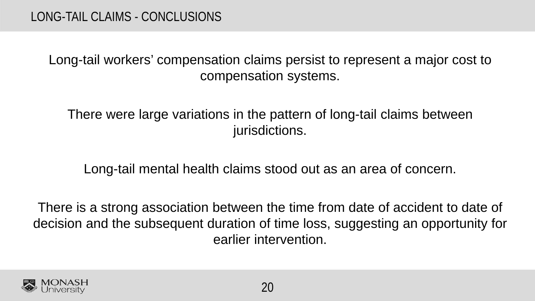Long-tail workers' compensation claims persist to represent a major cost to compensation systems.

There were large variations in the pattern of long-tail claims between jurisdictions.

Long-tail mental health claims stood out as an area of concern.

There is a strong association between the time from date of accident to date of decision and the subsequent duration of time loss, suggesting an opportunity for earlier intervention.

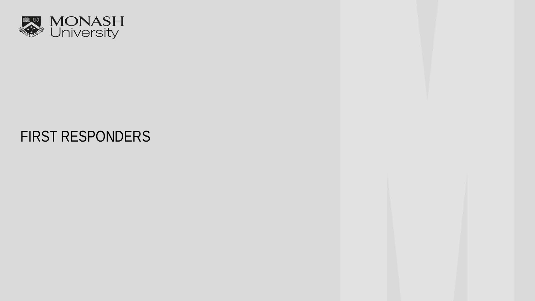

## FIRST RESPONDERS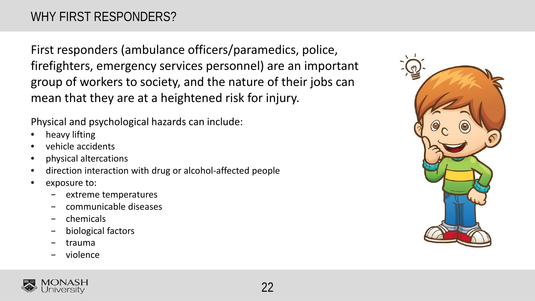First responders (ambulance officers/paramedics, police, firefighters, emergency services personnel) are an important group of workers to society, and the nature of their jobs can mean that they are at a heightened risk for injury.

Physical and psychological hazards can include:

- heavy lifting
- vehicle accidents
- physical altercations
- direction interaction with drug or alcohol-affected people
- exposure to:
	- − extreme temperatures
	- − communicable diseases
	- − chemicals
	- − biological factors
	- − trauma
	- violence



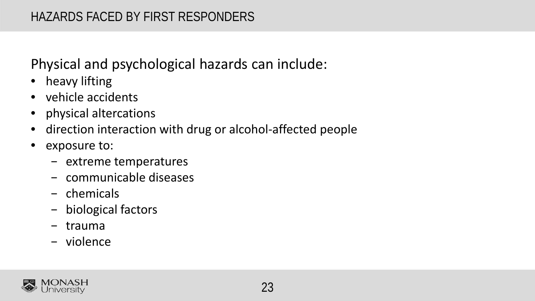## Physical and psychological hazards can include:

- heavy lifting
- vehicle accidents
- physical altercations
- direction interaction with drug or alcohol-affected people
- exposure to:
	- − extreme temperatures
	- − communicable diseases
	- − chemicals
	- − biological factors
	- − trauma
	- − violence

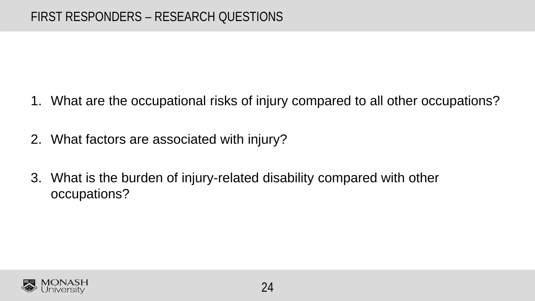- 1. What are the occupational risks of injury compared to all other occupations?
- 2. What factors are associated with injury?
- 3. What is the burden of injury-related disability compared with other occupations?

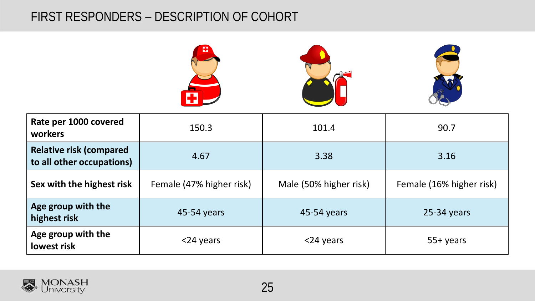#### FIRST RESPONDERS – DESCRIPTION OF COHORT



| Rate per 1000 covered<br>workers                             | 150.3                    | 101.4                  | 90.7                     |
|--------------------------------------------------------------|--------------------------|------------------------|--------------------------|
| <b>Relative risk (compared)</b><br>to all other occupations) | 4.67                     | 3.38                   | 3.16                     |
| Sex with the highest risk                                    | Female (47% higher risk) | Male (50% higher risk) | Female (16% higher risk) |
| Age group with the<br>highest risk                           | 45-54 years              | 45-54 years            | $25-34$ years            |
| Age group with the<br>lowest risk                            | <24 years                | <24 years              | $55+$ years              |

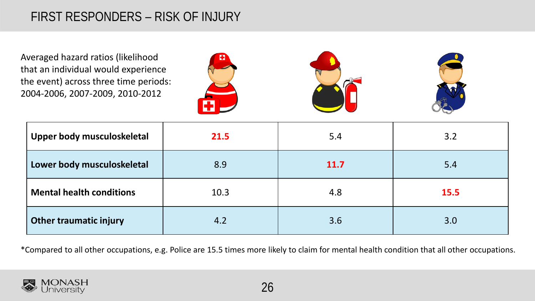#### FIRST RESPONDERS – RISK OF INJURY

Averaged hazard ratios (likelihood that an individual would experience the event) across three time periods: 2004-2006, 2007-2009, 2010-2012







| Upper body musculoskeletal      | 21.5 | 5.4         | 3.2         |
|---------------------------------|------|-------------|-------------|
| Lower body musculoskeletal      | 8.9  | <b>11.7</b> | 5.4         |
| <b>Mental health conditions</b> | 10.3 | 4.8         | <b>15.5</b> |
| <b>Other traumatic injury</b>   | 4.2  | 3.6         | 3.0         |

\*Compared to all other occupations, e.g. Police are 15.5 times more likely to claim for mental health condition that all other occupations.

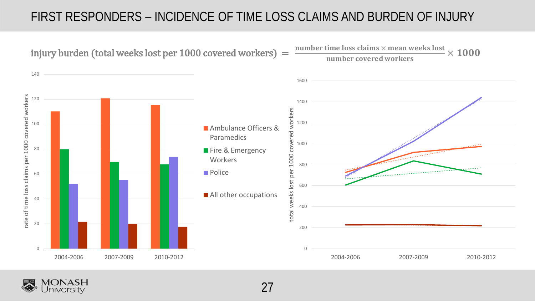#### FIRST RESPONDERS – INCIDENCE OF TIME LOSS CLAIMS AND BURDEN OF INJURY



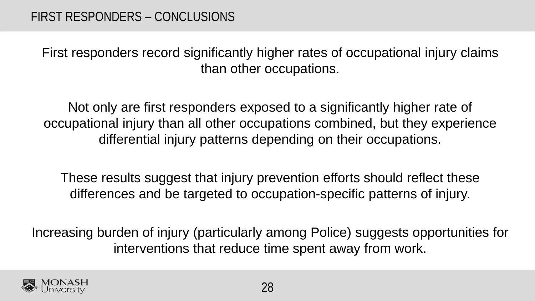First responders record significantly higher rates of occupational injury claims than other occupations.

Not only are first responders exposed to a significantly higher rate of occupational injury than all other occupations combined, but they experience differential injury patterns depending on their occupations.

These results suggest that injury prevention efforts should reflect these differences and be targeted to occupation-specific patterns of injury.

Increasing burden of injury (particularly among Police) suggests opportunities for interventions that reduce time spent away from work.

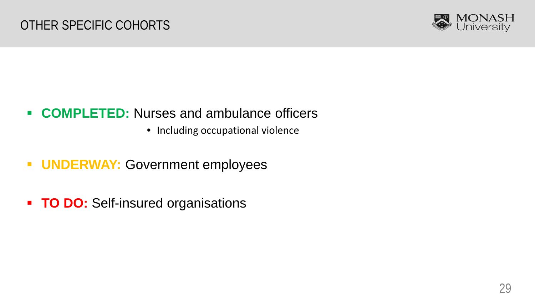

- **COMPLETED:** Nurses and ambulance officers
	- Including occupational violence
- **UNDERWAY: Government employees**
- **TO DO: Self-insured organisations**